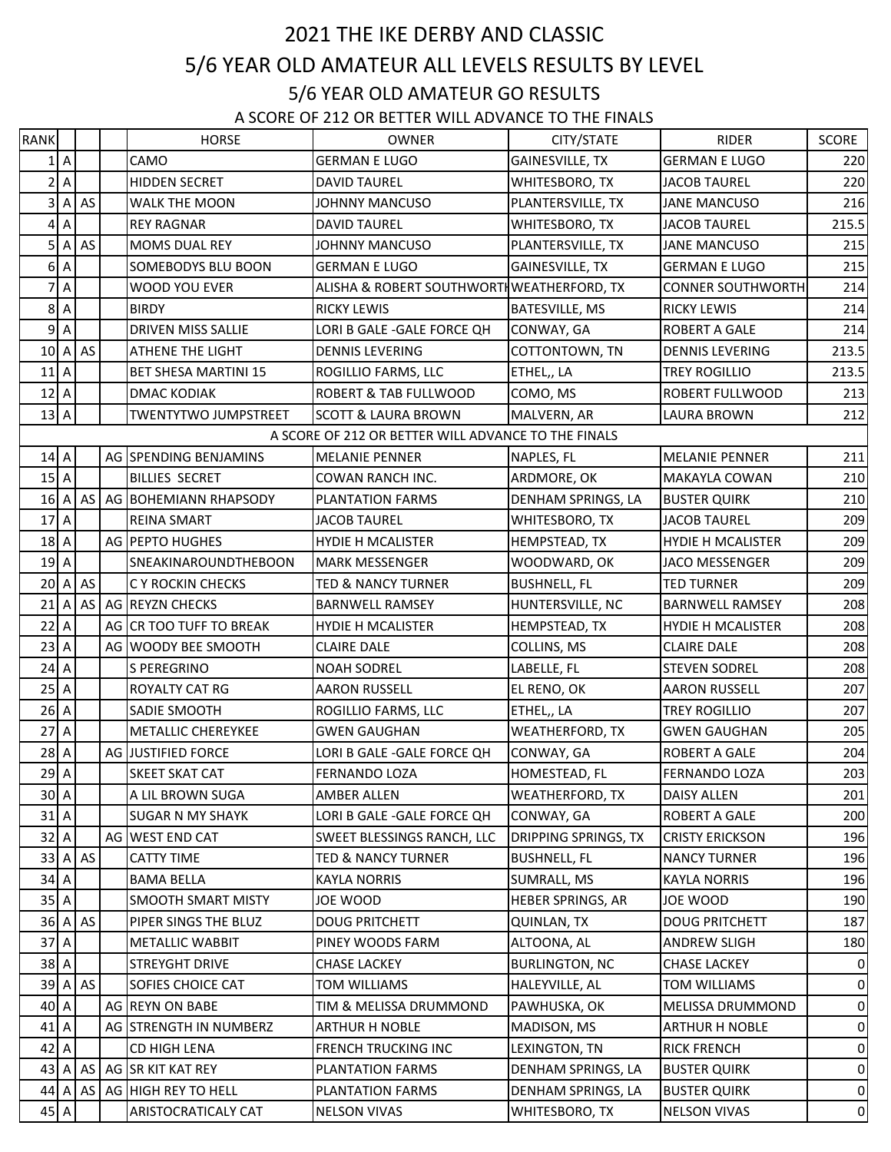## 5/6 YEAR OLD AMATEUR ALL LEVELS RESULTS BY LEVEL 2021 THE IKE DERBY AND CLASSIC 5/6 YEAR OLD AMATEUR GO RESULTS

A SCORE OF 212 OR BETTER WILL ADVANCE TO THE FINALS

| <b>RANK</b> |                  |           | <b>HORSE</b>                | OWNER                                               | CITY/STATE                  | <b>RIDER</b>             | SCORE        |
|-------------|------------------|-----------|-----------------------------|-----------------------------------------------------|-----------------------------|--------------------------|--------------|
|             | 1A               |           | CAMO                        | <b>GERMAN E LUGO</b>                                | GAINESVILLE, TX             | <b>GERMAN E LUGO</b>     | 220          |
|             | 2A               |           | <b>HIDDEN SECRET</b>        | <b>DAVID TAUREL</b>                                 | WHITESBORO, TX              | <b>JACOB TAUREL</b>      | 220          |
|             | 3A               | AS        | <b>WALK THE MOON</b>        | <b>JOHNNY MANCUSO</b>                               | PLANTERSVILLE, TX           | <b>JANE MANCUSO</b>      | 216          |
|             | 4A               |           | <b>REY RAGNAR</b>           | <b>DAVID TAUREL</b>                                 | WHITESBORO, TX              | <b>JACOB TAUREL</b>      | 215.5        |
|             | 5A               | AS        | <b>MOMS DUAL REY</b>        | <b>JOHNNY MANCUSO</b>                               | PLANTERSVILLE, TX           | <b>JANE MANCUSO</b>      | 215          |
|             | 6A               |           | SOMEBODYS BLU BOON          | <b>GERMAN E LUGO</b>                                | GAINESVILLE, TX             | <b>GERMAN E LUGO</b>     | 215          |
|             | 7A               |           | <b>WOOD YOU EVER</b>        | ALISHA & ROBERT SOUTHWORTH WEATHERFORD, TX          |                             | <b>CONNER SOUTHWORTH</b> | 214          |
|             | 8A               |           | <b>BIRDY</b>                | <b>RICKY LEWIS</b>                                  | <b>BATESVILLE, MS</b>       | <b>RICKY LEWIS</b>       | 214          |
|             | 9A               |           | DRIVEN MISS SALLIE          | LORI B GALE - GALE FORCE QH                         | CONWAY, GA                  | <b>ROBERT A GALE</b>     | 214          |
|             | 10 A             | AS        | ATHENE THE LIGHT            | <b>DENNIS LEVERING</b>                              | COTTONTOWN, TN              | <b>DENNIS LEVERING</b>   | 213.5        |
|             | 11A              |           | <b>BET SHESA MARTINI 15</b> | ROGILLIO FARMS, LLC                                 | ETHEL,, LA                  | <b>TREY ROGILLIO</b>     | 213.5        |
|             | 12A              |           | <b>DMAC KODIAK</b>          | <b>ROBERT &amp; TAB FULLWOOD</b>                    | COMO, MS                    | ROBERT FULLWOOD          | 213          |
|             | 13A              |           | TWENTYTWO JUMPSTREET        | <b>SCOTT &amp; LAURA BROWN</b>                      | MALVERN, AR                 | LAURA BROWN              | 212          |
|             |                  |           |                             | A SCORE OF 212 OR BETTER WILL ADVANCE TO THE FINALS |                             |                          |              |
|             | 14 A             |           | AG SPENDING BENJAMINS       | <b>MELANIE PENNER</b>                               | NAPLES, FL                  | <b>MELANIE PENNER</b>    | 211          |
|             | 15A              |           | <b>BILLIES SECRET</b>       | COWAN RANCH INC.                                    | ARDMORE, OK                 | <b>MAKAYLA COWAN</b>     | 210          |
|             | 16 A             |           | AS AG BOHEMIANN RHAPSODY    | <b>PLANTATION FARMS</b>                             | DENHAM SPRINGS, LA          | <b>BUSTER QUIRK</b>      | 210          |
|             | 17 A             |           | <b>REINA SMART</b>          | <b>JACOB TAUREL</b>                                 | WHITESBORO, TX              | JACOB TAUREL             | 209          |
|             | 18 A             |           | AG PEPTO HUGHES             | <b>HYDIE H MCALISTER</b>                            | HEMPSTEAD, TX               | <b>HYDIE H MCALISTER</b> | 209          |
|             | 19A              |           | SNEAKINAROUNDTHEBOON        | <b>MARK MESSENGER</b>                               | WOODWARD, OK                | JACO MESSENGER           | 209          |
|             | 20A              | AS        | C Y ROCKIN CHECKS           | <b>TED &amp; NANCY TURNER</b>                       | <b>BUSHNELL, FL</b>         | <b>TED TURNER</b>        | 209          |
|             | $21$ A           |           | AS AG REYZN CHECKS          | <b>BARNWELL RAMSEY</b>                              | HUNTERSVILLE, NC            | <b>BARNWELL RAMSEY</b>   | 208          |
|             | $22$ A           |           | AG CR TOO TUFF TO BREAK     | <b>HYDIE H MCALISTER</b>                            | HEMPSTEAD, TX               | <b>HYDIE H MCALISTER</b> | 208          |
|             | 23A              |           | AG WOODY BEE SMOOTH         | <b>CLAIRE DALE</b>                                  | COLLINS, MS                 | <b>CLAIRE DALE</b>       | 208          |
|             | 24A              |           | S PEREGRINO                 | <b>NOAH SODREL</b>                                  | LABELLE, FL                 | <b>STEVEN SODREL</b>     | 208          |
|             | 25A              |           | ROYALTY CAT RG              | <b>AARON RUSSELL</b>                                | EL RENO, OK                 | <b>AARON RUSSELL</b>     | 207          |
|             | 26A              |           | SADIE SMOOTH                | ROGILLIO FARMS, LLC                                 | ETHEL,, LA                  | TREY ROGILLIO            | 207          |
|             | 27 A             |           | METALLIC CHEREYKEE          | <b>GWEN GAUGHAN</b>                                 | <b>WEATHERFORD, TX</b>      | <b>GWEN GAUGHAN</b>      | 205          |
|             | 28 A             |           | AG JUSTIFIED FORCE          | LORI B GALE - GALE FORCE QH                         | CONWAY, GA                  | <b>ROBERT A GALE</b>     | 204          |
|             | 29 A             |           | SKEET SKAT CAT              | <b>FERNANDO LOZA</b>                                | HOMESTEAD, FL               | <b>FERNANDO LOZA</b>     | 203          |
|             | $30 \, \text{A}$ |           | A LIL BROWN SUGA            | AMBER ALLEN                                         | <b>WEATHERFORD, TX</b>      | DAISY ALLEN              | 201          |
|             | $31$ A           |           | <b>SUGAR N MY SHAYK</b>     | LORI B GALE - GALE FORCE QH                         | CONWAY, GA                  | ROBERT A GALE            | 200          |
|             | $32$ A           |           | AG WEST END CAT             | SWEET BLESSINGS RANCH, LLC                          | <b>DRIPPING SPRINGS, TX</b> | <b>CRISTY ERICKSON</b>   | 196          |
|             | 33 A             | AS        | <b>CATTY TIME</b>           | <b>TED &amp; NANCY TURNER</b>                       | <b>BUSHNELL, FL</b>         | <b>NANCY TURNER</b>      | 196          |
|             | 34 A             |           | <b>BAMA BELLA</b>           | <b>KAYLA NORRIS</b>                                 | SUMRALL, MS                 | <b>KAYLA NORRIS</b>      | 196          |
|             | 35A              |           | SMOOTH SMART MISTY          | JOE WOOD                                            | <b>HEBER SPRINGS, AR</b>    | JOE WOOD                 | 190          |
|             | 36 A             | AS        | PIPER SINGS THE BLUZ        | <b>DOUG PRITCHETT</b>                               | QUINLAN, TX                 | <b>DOUG PRITCHETT</b>    | 187          |
|             | 37 A             |           | METALLIC WABBIT             | PINEY WOODS FARM                                    | ALTOONA, AL                 | <b>ANDREW SLIGH</b>      | 180          |
|             | 38 A             |           | STREYGHT DRIVE              | <b>CHASE LACKEY</b>                                 | <b>BURLINGTON, NC</b>       | <b>CHASE LACKEY</b>      | $\mathbf 0$  |
|             | 39 A             | <b>AS</b> | SOFIES CHOICE CAT           | TOM WILLIAMS                                        | HALEYVILLE, AL              | TOM WILLIAMS             | $\mathbf 0$  |
|             | 40 A             |           | AG REYN ON BABE             | TIM & MELISSA DRUMMOND                              | PAWHUSKA, OK                | MELISSA DRUMMOND         | $\mathbf{0}$ |
|             | 41 A             |           | AG STRENGTH IN NUMBERZ      | <b>ARTHUR H NOBLE</b>                               | MADISON, MS                 | <b>ARTHUR H NOBLE</b>    | $\pmb{0}$    |
|             | 42 A             |           | CD HIGH LENA                | FRENCH TRUCKING INC                                 | LEXINGTON, TN               | <b>RICK FRENCH</b>       | $\mathbf 0$  |
|             | $43$ A           |           | AS AG SR KIT KAT REY        | PLANTATION FARMS                                    | DENHAM SPRINGS, LA          | <b>BUSTER QUIRK</b>      | $\mathbf{0}$ |
|             |                  |           | 44 A AS AG HIGH REY TO HELL | PLANTATION FARMS                                    | DENHAM SPRINGS, LA          | <b>BUSTER QUIRK</b>      | $\mathbf 0$  |
|             | 45 A             |           | ARISTOCRATICALY CAT         | <b>NELSON VIVAS</b>                                 | WHITESBORO, TX              | <b>NELSON VIVAS</b>      | $\mathbf 0$  |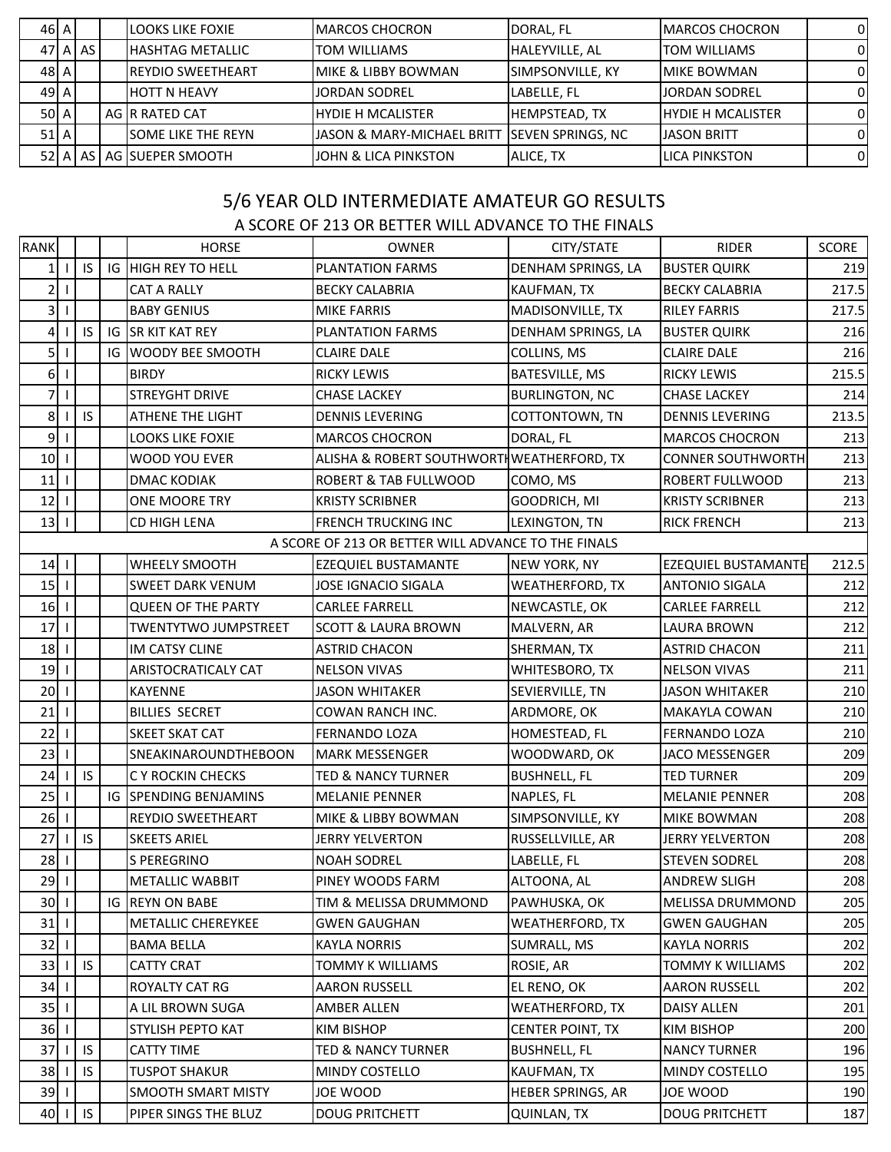| 46 A    |         | LOOKS LIKE FOXIE            | IMARCOS CHOCRON                                           | DORAL, FL             | <b>IMARCOS CHOCRON</b>    |              |
|---------|---------|-----------------------------|-----------------------------------------------------------|-----------------------|---------------------------|--------------|
|         | 47 A AS | <b>HASHTAG METALLIC</b>     | <b>TOM WILLIAMS</b>                                       | <b>HALEYVILLE, AL</b> | <b>ITOM WILLIAMS</b>      | n            |
| 48 A    |         | <b>REYDIO SWEETHEART</b>    | MIKE & LIBBY BOWMAN                                       | SIMPSONVILLE, KY      | <b>IMIKE BOWMAN</b>       |              |
| $492$ A |         | <b>HOTT N HEAVY</b>         | JORDAN SODREL                                             | LABELLE, FL           | <b>JORDAN SODREL</b>      |              |
| 50 A    |         | AG IR RATED CAT             | IHYDIE H MCALISTER                                        | <b>HEMPSTEAD, TX</b>  | <b>IHYDIE H MCALISTER</b> | <sup>0</sup> |
| 51A     |         | <b>ISOME LIKE THE REYN</b>  | <b>JJASON &amp; MARY-MICHAEL BRITT ISEVEN SPRINGS. NC</b> |                       | <b>JASON BRITT</b>        | <sup>0</sup> |
|         |         | 52 A LAS LAG ISUEPER SMOOTH | IJOHN & LICA PINKSTON                                     | ALICE, TX             | ILICA PINKSTON            | <sup>0</sup> |
|         |         |                             |                                                           |                       |                           |              |

## 5/6 YEAR OLD INTERMEDIATE AMATEUR GO RESULTS

## A SCORE OF 213 OR BETTER WILL ADVANCE TO THE FINALS

| <b>RANK</b>     |              |     |    | <b>HORSE</b>                | <b>OWNER</b>                                        | CITY/STATE              | <b>RIDER</b>               | SCORE |
|-----------------|--------------|-----|----|-----------------------------|-----------------------------------------------------|-------------------------|----------------------------|-------|
|                 |              | IS  |    | IG HIGH REY TO HELL         | PLANTATION FARMS                                    | DENHAM SPRINGS, LA      | <b>BUSTER QUIRK</b>        | 219   |
| $\overline{2}$  | $\mathbf{I}$ |     |    | <b>CAT A RALLY</b>          | <b>BECKY CALABRIA</b>                               | KAUFMAN, TX             | <b>BECKY CALABRIA</b>      | 217.5 |
| 3 <sup>1</sup>  |              |     |    | <b>BABY GENIUS</b>          | <b>MIKE FARRIS</b>                                  | MADISONVILLE, TX        | <b>RILEY FARRIS</b>        | 217.5 |
| 4               |              | IS  | IG | <b>SR KIT KAT REY</b>       | PLANTATION FARMS                                    | DENHAM SPRINGS, LA      | <b>BUSTER QUIRK</b>        | 216   |
| 5 <sup>1</sup>  | $\perp$      |     | IG | <b>WOODY BEE SMOOTH</b>     | <b>CLAIRE DALE</b>                                  | COLLINS, MS             | <b>CLAIRE DALE</b>         | 216   |
| 6               | $\perp$      |     |    | <b>BIRDY</b>                | <b>RICKY LEWIS</b>                                  | <b>BATESVILLE, MS</b>   | <b>RICKY LEWIS</b>         | 215.5 |
| 7               | $\mathbf{I}$ |     |    | STREYGHT DRIVE              | <b>CHASE LACKEY</b>                                 | <b>BURLINGTON, NC</b>   | <b>CHASE LACKEY</b>        | 214   |
| 8 <sup>1</sup>  |              | IS  |    | ATHENE THE LIGHT            | <b>DENNIS LEVERING</b>                              | COTTONTOWN, TN          | <b>DENNIS LEVERING</b>     | 213.5 |
| $\overline{9}$  |              |     |    | <b>LOOKS LIKE FOXIE</b>     | <b>MARCOS CHOCRON</b>                               | DORAL, FL               | <b>MARCOS CHOCRON</b>      | 213   |
| 10              | $\mathbf{I}$ |     |    | <b>WOOD YOU EVER</b>        | ALISHA & ROBERT SOUTHWORTH WEATHERFORD, TX          |                         | <b>CONNER SOUTHWORTH</b>   | 213   |
| 11              |              |     |    | <b>DMAC KODIAK</b>          | ROBERT & TAB FULLWOOD                               | COMO, MS                | ROBERT FULLWOOD            | 213   |
| 12              | $\mathbf{I}$ |     |    | ONE MOORE TRY               | <b>KRISTY SCRIBNER</b>                              | GOODRICH, MI            | <b>KRISTY SCRIBNER</b>     | 213   |
| 13              |              |     |    | CD HIGH LENA                | <b>FRENCH TRUCKING INC</b>                          | LEXINGTON, TN           | <b>RICK FRENCH</b>         | 213   |
|                 |              |     |    |                             | A SCORE OF 213 OR BETTER WILL ADVANCE TO THE FINALS |                         |                            |       |
| $14$            |              |     |    | <b>WHEELY SMOOTH</b>        | EZEQUIEL BUSTAMANTE                                 | <b>NEW YORK, NY</b>     | <b>EZEQUIEL BUSTAMANTE</b> | 212.5 |
| 15              | $\mathbf{I}$ |     |    | <b>SWEET DARK VENUM</b>     | <b>JOSE IGNACIO SIGALA</b>                          | <b>WEATHERFORD, TX</b>  | <b>ANTONIO SIGALA</b>      | 212   |
| $16$            |              |     |    | <b>QUEEN OF THE PARTY</b>   | <b>CARLEE FARRELL</b>                               | NEWCASTLE, OK           | <b>CARLEE FARRELL</b>      | 212   |
| 17              | $\mathbf{I}$ |     |    | <b>TWENTYTWO JUMPSTREET</b> | <b>SCOTT &amp; LAURA BROWN</b>                      | MALVERN, AR             | LAURA BROWN                | 212   |
| 18              |              |     |    | <b>IM CATSY CLINE</b>       | <b>ASTRID CHACON</b>                                | SHERMAN, TX             | <b>ASTRID CHACON</b>       | 211   |
| 19              |              |     |    | ARISTOCRATICALY CAT         | <b>NELSON VIVAS</b>                                 | WHITESBORO, TX          | <b>NELSON VIVAS</b>        | 211   |
| 20              |              |     |    | <b>KAYENNE</b>              | <b>JASON WHITAKER</b>                               | SEVIERVILLE, TN         | <b>JASON WHITAKER</b>      | 210   |
| 21              |              |     |    | <b>BILLIES SECRET</b>       | COWAN RANCH INC.                                    | ARDMORE, OK             | <b>MAKAYLA COWAN</b>       | 210   |
| 22              |              |     |    | <b>SKEET SKAT CAT</b>       | <b>FERNANDO LOZA</b>                                | HOMESTEAD, FL           | FERNANDO LOZA              | 210   |
| 23              |              |     |    | SNEAKINAROUNDTHEBOON        | <b>MARK MESSENGER</b>                               | WOODWARD, OK            | JACO MESSENGER             | 209   |
| 24              |              | IS. |    | C Y ROCKIN CHECKS           | <b>TED &amp; NANCY TURNER</b>                       | <b>BUSHNELL, FL</b>     | <b>TED TURNER</b>          | 209   |
| 25              |              |     |    | IG SPENDING BENJAMINS       | <b>MELANIE PENNER</b>                               | NAPLES, FL              | <b>MELANIE PENNER</b>      | 208   |
| 26              |              |     |    | <b>REYDIO SWEETHEART</b>    | MIKE & LIBBY BOWMAN                                 | SIMPSONVILLE, KY        | <b>MIKE BOWMAN</b>         | 208   |
| 27              |              | IS  |    | <b>SKEETS ARIEL</b>         | <b>JERRY YELVERTON</b>                              | RUSSELLVILLE, AR        | <b>JERRY YELVERTON</b>     | 208   |
| 28              |              |     |    | S PEREGRINO                 | <b>NOAH SODREL</b>                                  | LABELLE, FL             | <b>STEVEN SODREL</b>       | 208   |
| $29$   1        |              |     |    | <b>METALLIC WABBIT</b>      | PINEY WOODS FARM                                    | ALTOONA, AL             | <b>ANDREW SLIGH</b>        | 208   |
| 30 <sub>1</sub> |              |     |    | <b>IG REYN ON BABE</b>      | TIM & MELISSA DRUMMOND                              | PAWHUSKA, OK            | MELISSA DRUMMOND           | 205   |
| $31$   1        |              |     |    | METALLIC CHEREYKEE          | <b>GWEN GAUGHAN</b>                                 | <b>WEATHERFORD, TX</b>  | <b>GWEN GAUGHAN</b>        | 205   |
| $32$   1        |              |     |    | <b>BAMA BELLA</b>           | <b>KAYLA NORRIS</b>                                 | SUMRALL, MS             | <b>KAYLA NORRIS</b>        | 202   |
| 33              |              | IS  |    | <b>CATTY CRAT</b>           | TOMMY K WILLIAMS                                    | ROSIE, AR               | TOMMY K WILLIAMS           | 202   |
| 34              |              |     |    | ROYALTY CAT RG              | <b>AARON RUSSELL</b>                                | EL RENO, OK             | <b>AARON RUSSELL</b>       | 202   |
| $35$   1        |              |     |    | A LIL BROWN SUGA            | AMBER ALLEN                                         | WEATHERFORD, TX         | DAISY ALLEN                | 201   |
| $36$            |              |     |    | STYLISH PEPTO KAT           | <b>KIM BISHOP</b>                                   | <b>CENTER POINT, TX</b> | KIM BISHOP                 | 200   |
| 37              |              | IS  |    | <b>CATTY TIME</b>           | <b>TED &amp; NANCY TURNER</b>                       | <b>BUSHNELL, FL</b>     | <b>NANCY TURNER</b>        | 196   |
| 38              |              | IS  |    | <b>TUSPOT SHAKUR</b>        | <b>MINDY COSTELLO</b>                               | KAUFMAN, TX             | MINDY COSTELLO             | 195   |
| 39              |              |     |    | SMOOTH SMART MISTY          | JOE WOOD                                            | HEBER SPRINGS, AR       | JOE WOOD                   | 190   |
| 40              |              | IS  |    | PIPER SINGS THE BLUZ        | <b>DOUG PRITCHETT</b>                               | QUINLAN, TX             | <b>DOUG PRITCHETT</b>      | 187   |